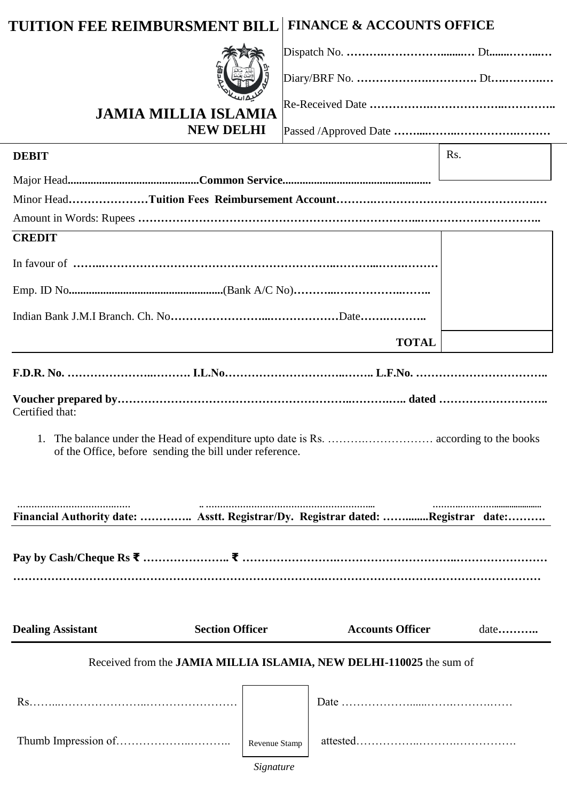# **TUITION FEE REIMBURSMENT BILL FINANCE & ACCOUNTS OFFICE**



## **JAMIA MILLIA ISLAMIA NEW DELHI**

Passed /Approved Date **……....……..…………….………**

Re-Received Date **…………….………………..…………..**

| <b>DEBIT</b>                                                                     |                                                         |                         | R <sub>s</sub> . |  |  |
|----------------------------------------------------------------------------------|---------------------------------------------------------|-------------------------|------------------|--|--|
|                                                                                  |                                                         |                         |                  |  |  |
|                                                                                  |                                                         |                         |                  |  |  |
|                                                                                  |                                                         |                         |                  |  |  |
| <b>CREDIT</b>                                                                    |                                                         |                         |                  |  |  |
|                                                                                  |                                                         |                         |                  |  |  |
|                                                                                  |                                                         |                         |                  |  |  |
|                                                                                  |                                                         |                         |                  |  |  |
|                                                                                  |                                                         | <b>TOTAL</b>            |                  |  |  |
|                                                                                  |                                                         |                         |                  |  |  |
| Certified that:                                                                  |                                                         |                         |                  |  |  |
|                                                                                  | of the Office, before sending the bill under reference. |                         |                  |  |  |
| Financial Authority date:  Asstt. Registrar/Dy. Registrar dated: Registrar date: |                                                         |                         |                  |  |  |
|                                                                                  |                                                         |                         |                  |  |  |
| <b>Dealing Assistant</b>                                                         | <b>Section Officer</b>                                  | <b>Accounts Officer</b> | $date$           |  |  |
| Received from the JAMIA MILLIA ISLAMIA, NEW DELHI-110025 the sum of              |                                                         |                         |                  |  |  |
|                                                                                  |                                                         |                         |                  |  |  |
|                                                                                  | Revenue Stamp                                           |                         |                  |  |  |
|                                                                                  | Signature                                               |                         |                  |  |  |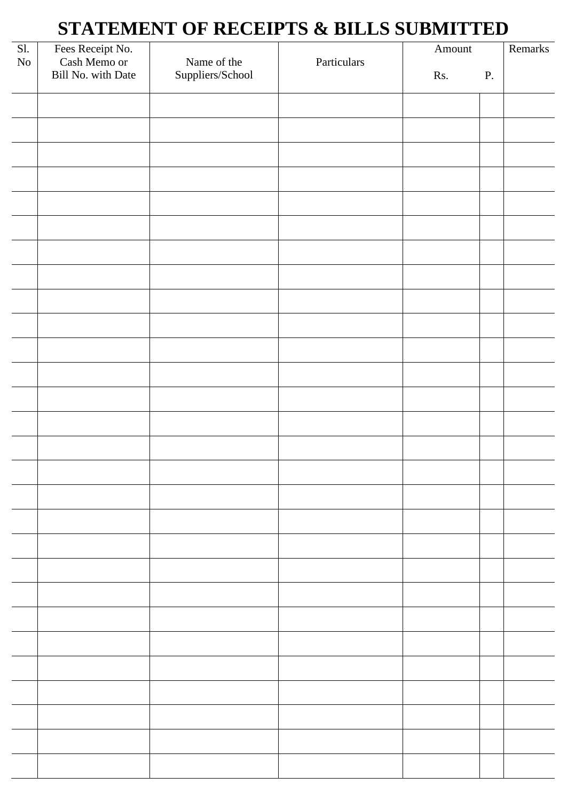# **STATEMENT OF RECEIPTS & BILLS SUBMITTED**

| SI.      | Fees Receipt No.<br>Cash Memo or |                                 |             | Amount |    | Remarks |
|----------|----------------------------------|---------------------------------|-------------|--------|----|---------|
| $\rm No$ | Bill No. with Date               | Name of the<br>Suppliers/School | Particulars | Rs.    | P. |         |
|          |                                  |                                 |             |        |    |         |
|          |                                  |                                 |             |        |    |         |
|          |                                  |                                 |             |        |    |         |
|          |                                  |                                 |             |        |    |         |
|          |                                  |                                 |             |        |    |         |
|          |                                  |                                 |             |        |    |         |
|          |                                  |                                 |             |        |    |         |
|          |                                  |                                 |             |        |    |         |
|          |                                  |                                 |             |        |    |         |
|          |                                  |                                 |             |        |    |         |
|          |                                  |                                 |             |        |    |         |
|          |                                  |                                 |             |        |    |         |
|          |                                  |                                 |             |        |    |         |
|          |                                  |                                 |             |        |    |         |
|          |                                  |                                 |             |        |    |         |
|          |                                  |                                 |             |        |    |         |
|          |                                  |                                 |             |        |    |         |
|          |                                  |                                 |             |        |    |         |
|          |                                  |                                 |             |        |    |         |
|          |                                  |                                 |             |        |    |         |
|          |                                  |                                 |             |        |    |         |
|          |                                  |                                 |             |        |    |         |
|          |                                  |                                 |             |        |    |         |
|          |                                  |                                 |             |        |    |         |
|          |                                  |                                 |             |        |    |         |
|          |                                  |                                 |             |        |    |         |
|          |                                  |                                 |             |        |    |         |
|          |                                  |                                 |             |        |    |         |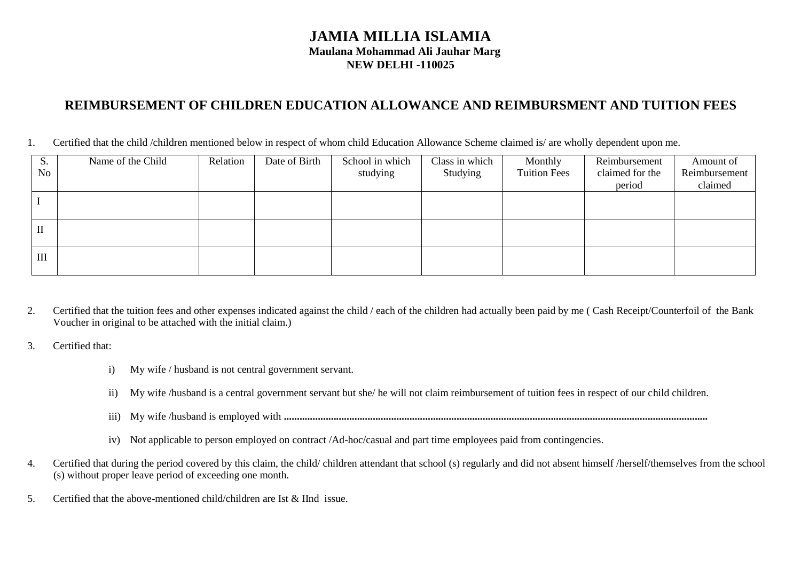#### **JAMIA MILLIA ISLAMIA Maulana Mohammad Ali Jauhar Marg NEW DELHI -110025**

### **REIMBURSEMENT OF CHILDREN EDUCATION ALLOWANCE AND REIMBURSMENT AND TUITION FEES**

1. Certified that the child /children mentioned below in respect of whom child Education Allowance Scheme claimed is/ are wholly dependent upon me.

| S.           | Name of the Child | Relation | Date of Birth | School in which | Class in which | Monthly             | Reimbursement   | Amount of     |
|--------------|-------------------|----------|---------------|-----------------|----------------|---------------------|-----------------|---------------|
| <b>No</b>    |                   |          |               | studying        | Studying       | <b>Tuition Fees</b> | claimed for the | Reimbursement |
|              |                   |          |               |                 |                |                     | period          | claimed       |
|              |                   |          |               |                 |                |                     |                 |               |
|              |                   |          |               |                 |                |                     |                 |               |
| $\mathbf{I}$ |                   |          |               |                 |                |                     |                 |               |
|              |                   |          |               |                 |                |                     |                 |               |
| III          |                   |          |               |                 |                |                     |                 |               |
|              |                   |          |               |                 |                |                     |                 |               |

2. Certified that the tuition fees and other expenses indicated against the child / each of the children had actually been paid by me ( Cash Receipt/Counterfoil of the Bank Voucher in original to be attached with the initial claim.)

3. Certified that:

- i) My wife / husband is not central government servant.
- ii) My wife /husband is a central government servant but she/ he will not claim reimbursement of tuition fees in respect of our child children.
- iii) My wife /husband is employed with **..................................................................................................................................................................**
- iv) Not applicable to person employed on contract /Ad-hoc/casual and part time employees paid from contingencies.
- 4. Certified that during the period covered by this claim, the child/ children attendant that school (s) regularly and did not absent himself /herself/themselves from the school (s) without proper leave period of exceeding one month.
- 5. Certified that the above-mentioned child/children are Ist & IInd issue.